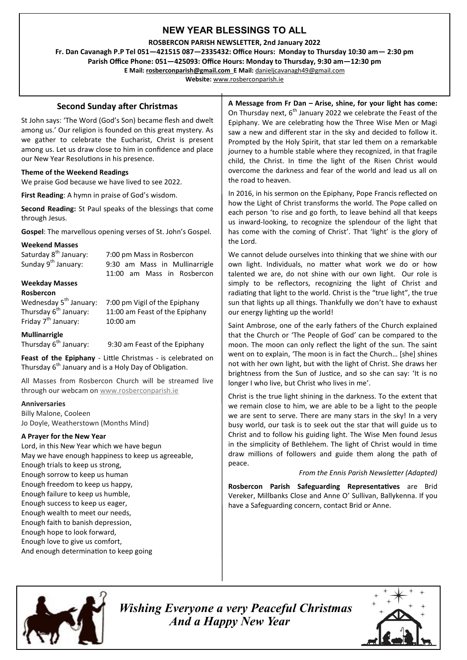# **NEW YEAR BLESSINGS TO ALL**

**ROSBERCON PARISH NEWSLETTER, 2nd January 2022**

**Fr. Dan Cavanagh P.P Tel 051—421515 087—2335432: Office Hours: Monday to Thursday 10:30 am— 2:30 pm Parish Office Phone: 051—425093: Office Hours: Monday to Thursday, 9:30 am—12:30 pm**

**E Mail: rosberconparish@gmail.com E Mail:** [danieljcavanagh49@gmail.com](mailto:danieljcavanagh49@gmail.com)

**Website:** [www.rosberconparish.ie](http://www.rosberconparish.ie)

# **Second Sunday after Christmas**

St John says: 'The Word (God's Son) became flesh and dwelt among us.' Our religion is founded on this great mystery. As we gather to celebrate the Eucharist, Christ is present among us. Let us draw close to him in confidence and place our New Year Resolutions in his presence.

# **Theme of the Weekend Readings**

We praise God because we have lived to see 2022.

**First Reading**: A hymn in praise of God's wisdom.

**Second Reading:** St Paul speaks of the blessings that come through Jesus.

**Gospel**: The marvellous opening verses of St. John's Gospel.

#### **Weekend Masses**

| Saturday 8 <sup>th</sup> January:  | 7:00 pm Mass in Rosbercon      |
|------------------------------------|--------------------------------|
| Sunday 9 <sup>th</sup> January:    | 9:30 am Mass in Mullinarrigle  |
|                                    | 11:00 am Mass in Rosbercon     |
| <b>Weekday Masses</b>              |                                |
| Rosbercon                          |                                |
| Wednesday 5 <sup>th</sup> January: | 7:00 pm Vigil of the Epiphany  |
| Thursday 6 <sup>th</sup> January:  | 11:00 am Feast of the Epiphany |
| Friday 7 <sup>th</sup> January:    | $10:00 \text{ am}$             |
|                                    |                                |

### **Mullinarrigle**

Thursday  $6<sup>th</sup>$  January: 9:30 am Feast of the Epiphany

**Feast of the Epiphany** - Little Christmas - is celebrated on Thursday  $6<sup>th</sup>$  January and is a Holy Day of Obligation.

All Masses from Rosbercon Church will be streamed live through our webcam on [www.rosberconparish.ie](http://www.rosberconparish.ie)

#### **Anniversaries**

Billy Malone, Cooleen Jo Doyle, Weatherstown (Months Mind)

### **A Prayer for the New Year**

Lord, in this New Year which we have begun May we have enough happiness to keep us agreeable, Enough trials to keep us strong, Enough sorrow to keep us human Enough freedom to keep us happy, Enough failure to keep us humble, Enough success to keep us eager, Enough wealth to meet our needs, Enough faith to banish depression, Enough hope to look forward, Enough love to give us comfort, And enough determination to keep going

**A Message from Fr Dan – Arise, shine, for your light has come:**  On Thursday next,  $6<sup>th</sup>$  January 2022 we celebrate the Feast of the Epiphany. We are celebrating how the Three Wise Men or Magi saw a new and different star in the sky and decided to follow it. Prompted by the Holy Spirit, that star led them on a remarkable journey to a humble stable where they recognized, in that fragile child, the Christ. In time the light of the Risen Christ would overcome the darkness and fear of the world and lead us all on the road to heaven.

In 2016, in his sermon on the Epiphany, Pope Francis reflected on how the Light of Christ transforms the world. The Pope called on each person 'to rise and go forth, to leave behind all that keeps us inward-looking, to recognize the splendour of the light that has come with the coming of Christ'. That 'light' is the glory of the Lord.

We cannot delude ourselves into thinking that we shine with our own light. Individuals, no matter what work we do or how talented we are, do not shine with our own light. Our role is simply to be reflectors, recognizing the light of Christ and radiating that light to the world. Christ is the "true light", the true sun that lights up all things. Thankfully we don't have to exhaust our energy lighting up the world!

Saint Ambrose, one of the early fathers of the Church explained that the Church or 'The People of God' can be compared to the moon. The moon can only reflect the light of the sun. The saint went on to explain, 'The moon is in fact the Church… [she] shines not with her own light, but with the light of Christ. She draws her brightness from the Sun of Justice, and so she can say: 'It is no longer I who live, but Christ who lives in me'.

Christ is the true light shining in the darkness. To the extent that we remain close to him, we are able to be a light to the people we are sent to serve. There are many stars in the sky! In a very busy world, our task is to seek out the star that will guide us to Christ and to follow his guiding light. The Wise Men found Jesus in the simplicity of Bethlehem. The light of Christ would in time draw millions of followers and guide them along the path of peace.

#### *From the Ennis Parish Newsletter (Adapted)*

**Rosbercon Parish Safeguarding Representatives** are Brid Vereker, Millbanks Close and Anne O' Sullivan, Ballykenna. If you have a Safeguarding concern, contact Brid or Anne.



 *Wishing Everyone a very Peaceful Christmas And a Happy New Year*